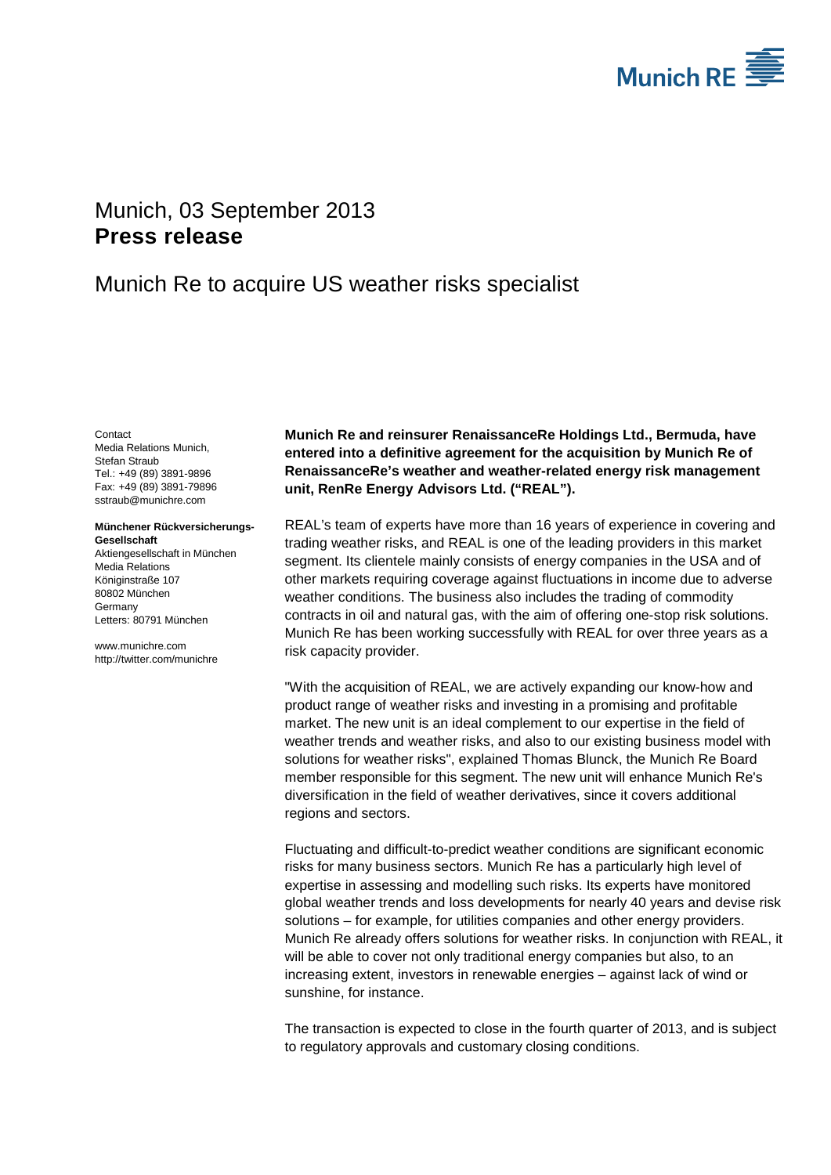

## <span id="page-0-1"></span><span id="page-0-0"></span>Munich, 03 September 2013 **Press release**

## Munich Re to acquire US weather risks specialist

<span id="page-0-3"></span><span id="page-0-2"></span>**Contact** Media Relations Munich, Stefan Straub Tel.: +49 (89) 3891-9896 Fax: +49 (89) 3891-79896 sstraub@munichre.com

**Münchener Rückversicherungs-Gesellschaft** Aktiengesellschaft in München

Media Relations Königinstraße 107 80802 München Germany Letters: 80791 München

www.munichre.com http://twitter.com/munichre **Munich Re and reinsurer RenaissanceRe Holdings Ltd., Bermuda, have entered into a definitive agreement for the acquisition by Munich Re of RenaissanceRe's weather and weather-related energy risk management unit, RenRe Energy Advisors Ltd. ("REAL").**

REAL's team of experts have more than 16 years of experience in covering and trading weather risks, and REAL is one of the leading providers in this market segment. Its clientele mainly consists of energy companies in the USA and of other markets requiring coverage against fluctuations in income due to adverse weather conditions. The business also includes the trading of commodity contracts in oil and natural gas, with the aim of offering one-stop risk solutions. Munich Re has been working successfully with REAL for over three years as a risk capacity provider.

"With the acquisition of REAL, we are actively expanding our know-how and product range of weather risks and investing in a promising and profitable market. The new unit is an ideal complement to our expertise in the field of weather trends and weather risks, and also to our existing business model with solutions for weather risks", explained Thomas Blunck, the Munich Re Board member responsible for this segment. The new unit will enhance Munich Re's diversification in the field of weather derivatives, since it covers additional regions and sectors.

Fluctuating and difficult-to-predict weather conditions are significant economic risks for many business sectors. Munich Re has a particularly high level of expertise in assessing and modelling such risks. Its experts have monitored global weather trends and loss developments for nearly 40 years and devise risk solutions – for example, for utilities companies and other energy providers. Munich Re already offers solutions for weather risks. In conjunction with REAL, it will be able to cover not only traditional energy companies but also, to an increasing extent, investors in renewable energies – against lack of wind or sunshine, for instance.

The transaction is expected to close in the fourth quarter of 2013, and is subject to regulatory approvals and customary closing conditions.